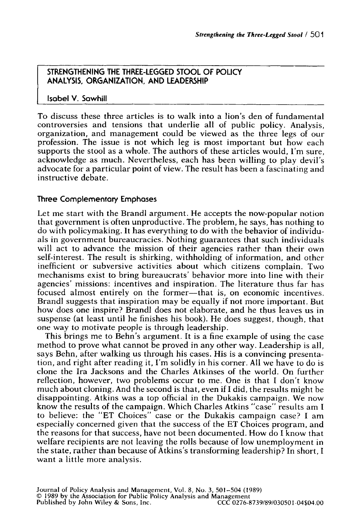## **STRENGTHENING THE THREE-LEGGED STOOL OF POLICY ANALYSIS, ORGANIZATION, AND LEADERSHIP**

### **Isabel V. Sawhill**

To discuss these three articles is to walk into a lion's den of fundamental controversies and tensions that underlie all of public policy. Analysis, organization, and management could be viewed as the three legs of our profession. The issue is not which leg is most important but how each supports the stool as a whole. The authors of these articles would, I'm sure, acknowledge as much. Nevertheless, each has been willing **to** play devil's advocate for a particular point of view. The result has been a fascinating and instructive debate.

## **Three Complementary Emphases**

Let me start with the Brandl argument. He accepts the now-popular notion that government is often unproductive. The problem, he says, has nothing **to**  do with policymaking. It has everything to do with the behavior of individuals in government bureaucracies. Nothing guarantees that such individuals will act to advance the mission *of* their agencies rather than their own self-interest. The result is shirking, withholding of information, and other inefficient or subversive activities about which citizens complain. Two mechanisms exist to bring bureaucrats' behavior more into line with their agencies' missions: incentives and inspiration. The literature thus far has focused almost entirely on the former—that is, on economic incentives. Brandl suggests that inspiration may be equally if not more important. But how does one inspire? Brandl does not elaborate, and he thus leaves us in suspense (at least until he finishes his book). He does suggest, though, that one way to motivate people is through leadership.

This brings me to Behn's argument. It is a fine example of using the case method to prove what cannot be proved in any other way. Leadership is all, says Behn, after walking us through his cases. His is a convincing presentation, and right after reading it, I'm solidly in his corner. All we have to do is clone the Ira Jacksons and the Charles Atkinses of the world. On further reflection, however, two problems occur to me. One is that I don't know much about cloning. And the second is that, even if I did, the results might be disappointing. Atkins was a top official in the Dukakis campaign. We now know the results of the campaign. Which Charles Atkins "case" results am I to believe: the "ET Choices" case or the Dukakis campaign case? I am especially concerned given that the success of the ET Choices program, and the reasons for that success, have not been documented. How do I know that welfare recipients are not leaving the rolls because of low unemployment in the state, rather than because **of** Atkins's transforming leadership? In short, I want a little more analysis.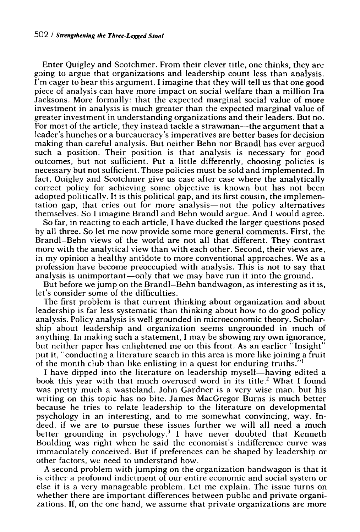Enter Quigley and Scotchmer. From their clever title, one thinks, they are going to argue that organizations and leadership count less than analysis. I'm eager to hear this argument. I imagine that they will tell us that one good piece of analysis can have more impact on social welfare than a million Ira Jacksons. More formally: that the expected marginal social value of more investment in analysis is much greater than the expected marginal value **of**  greater investment in understanding organizations and their leaders. But no. For most of the article, they instead tackle a strawman—the argument that a leader's hunches or a bureaucracy's imperatives are better bases for decision making than careful analysis. But neither Behn nor Brandl has ever argued such a position. Their position is that analysis is necessary for good outcomes, but not sufficient. Put a little differently, choosing policies is necessary but not sufficient. Those policies must be sold and implemented. In fact, Quigley and Scotchmer give **us** case after case where the analytically correct policy for achieving some objective is known but has not been adopted politically. It is this political gap, and its first cousin, the implementation gap, that cries out for more analysis-not the policy alternatives themselves. *So* I imagine Brandl and Behn would argue. And **I** would agree.

**So** far, in reacting to each article, **I** have ducked the larger questions posed by all three. *So* let me now provide some more general comments. First, the Brandl-Behn views of the world are not all that different. They contrast more with the analytical view than with each other. Second, their views are, in my opinion a healthy antidote to more conventional approaches. We as a profession have become preoccupied with analysis. This is not **to** say that analysis is unimportant—only that we may have run it into the ground.

But before we jump on the Brandl-Behn bandwagon, as interesting as it is, let's consider some of the difficulties.

The first problem is that current thinking about organization and about leadership is far less systematic than thinking about how to do good policy analysis. Policy analysis is well grounded in microeconomic theory. Scholarship about leadership and organization seems ungrounded in much **of**  anything. In making such a statement, I may be showing my own ignorance, but neither paper has enlightened me on this front. **As** an earlier "Insight" put it, "conducting a literature search in this area is more like joining a fruit of the month club than like enlisting in a quest for enduring truths."'

I have dipped into the literature on leadership myself—having edited a book this year with that much overused word in its title.<sup>2</sup> What I found was pretty much a wasteland. John Gardner is a very wise man, but his writing on this topic has no bite. James MacGregor Burns **is** much better because he tries to relate leadership to the literature on developmental psychology in an interesting, and to me somewhat convincing, way. Indeed, if we are to pursue these issues further we will all need a much better grounding in psychology.<sup>3</sup> I have never doubted that Kenneth Boulding was right when he said the economist's indifference curve was immaculately conceived. But if preferences can be shaped by leadership or other factors, we need to understand how.

**A** second problem with jumping on the organization bandwagon is that it is either a profound indictment of our entire economic and social system or else it is a very manageable problem. Let me explain. The issue turns on whether there are important differences between public and private organizations. If, on the one hand, we assume that private organizations are more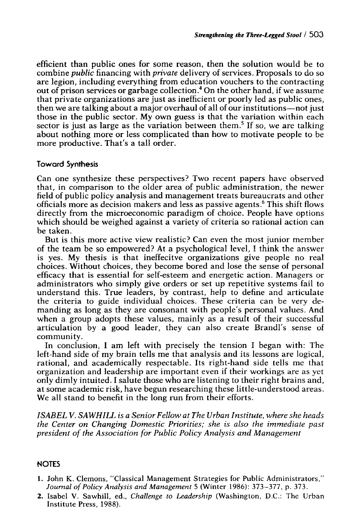efficient than public ones for some reason, then the solution would be to combine *public* financing with *private* delivery of services. Proposals to do so are legion, including everything from education vouchers to the contracting out of prison services or garbage collection.<sup>4</sup> On the other hand, if we assume that private organizations are just as inefficient or poorly led as public ones, then we are talking about a major overhaul of all of our institutions-not just those in the public sector. My own guess is that the variation within each sector is just as large as the variation between them.<sup>5</sup> If so, we are talking about nothing more or less complicated than how to motivate people to be more productive. That's a tall order.

### **Toward Synthesis**

Can one synthesize these perspectives? Two recent papers have observed that, in comparison to the older area of public administration, the newer field of public policy analysis and management treats bureaucrats and other officials more as decision makers and less as passive agents.<sup>6</sup> This shift flows directly from the microeconomic paradigm of choice. People have options which should be weighed against a variety of criteria so rational action can be taken.

But is this more active view realistic? Can even the most junior member of the team be so empowered? At a psychological level, **1** think the answer is yes. My thesis is that ineffecitve organizations give people no real choices. Without choices, they become bored and lose the sense of personal efficacy that is essential for self-esteem and energetic action. Managers or administrators who simply give orders or set up repetitive systems fail to understand this. True leaders, by contrast, help to define and articulate the criteria to guide individual choices. These criteria can be very demanding as long as they are consonant with people's personal values. And when a group adopts these values, mainly as a result of their successful articulation by a good leader, they can also create Brandl's sense of community.

In conclusion, **I** am left with precisely the tension I began with: The left-hand side of my brain tells me that analysis and its lessons are logical, rational, and academically respectable. Its right-hand side tells me that organization and leadership are important even if their workings are as yet only dimly intuited. I salute those who are listening to their right brains and, at some academic risk, have begun researching these little-understood areas. We all stand to benefit in the long run from their efforts.

*ISABEL V. SAWHILL is a Senior Fellow at The Urban Institute, where she heads the Center on Changing Domestic Priorities; she is also the immediate past president of the Association for Public Policy Analysis and Management* 

# **NOTES**

- **1.** John **K.** Clemons, "Classical Management Strategies **for** Public Administrators," *Journal of Policy Analysis and Management* 5 (Winter 1986): 373-377, **p.** 373.
- **2.** Isabel *V.* Sawhill. ed., *Challenge to Leadership* (Washington, *D.C.:* The Urban Institute Press, 1988).